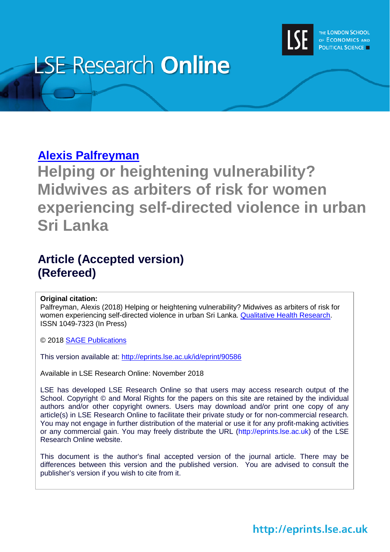

# **LSE Research Online**

# **[Alexis Palfreyman](http://www.lse.ac.uk/social-policy/people/research-students/Alexis-Palfreyman)**

**Helping or heightening vulnerability? Midwives as arbiters of risk for women experiencing self-directed violence in urban Sri Lanka**

# **Article (Accepted version) (Refereed)**

#### **Original citation:**

Palfreyman, Alexis (2018) Helping or heightening vulnerability? Midwives as arbiters of risk for women experiencing self-directed violence in urban Sri Lanka. [Qualitative Health Research.](https://journals.sagepub.com/home/qhr) ISSN 1049-7323 (In Press)

© 2018 [SAGE Publications](https://journals.sagepub.com/)

This version available at:<http://eprints.lse.ac.uk/id/eprint/90586>

Available in LSE Research Online: November 2018

LSE has developed LSE Research Online so that users may access research output of the School. Copyright © and Moral Rights for the papers on this site are retained by the individual authors and/or other copyright owners. Users may download and/or print one copy of any article(s) in LSE Research Online to facilitate their private study or for non-commercial research. You may not engage in further distribution of the material or use it for any profit-making activities or any commercial gain. You may freely distribute the URL (http://eprints.lse.ac.uk) of the LSE Research Online website.

This document is the author's final accepted version of the journal article. There may be differences between this version and the published version. You are advised to consult the publisher's version if you wish to cite from it.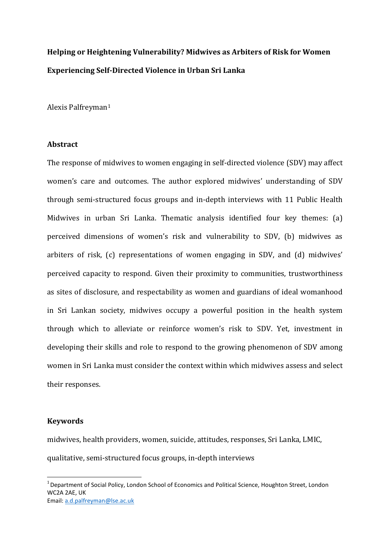# **Helping or Heightening Vulnerability? Midwives as Arbiters of Risk for Women Experiencing Self-Directed Violence in Urban Sri Lanka**

Alexis Palfreyman[1](#page-1-0)

## **Abstract**

The response of midwives to women engaging in self-directed violence (SDV) may affect women's care and outcomes. The author explored midwives' understanding of SDV through semi-structured focus groups and in-depth interviews with 11 Public Health Midwives in urban Sri Lanka. Thematic analysis identified four key themes: (a) perceived dimensions of women's risk and vulnerability to SDV, (b) midwives as arbiters of risk, (c) representations of women engaging in SDV, and (d) midwives' perceived capacity to respond. Given their proximity to communities, trustworthiness as sites of disclosure, and respectability as women and guardians of ideal womanhood in Sri Lankan society, midwives occupy a powerful position in the health system through which to alleviate or reinforce women's risk to SDV. Yet, investment in developing their skills and role to respond to the growing phenomenon of SDV among women in Sri Lanka must consider the context within which midwives assess and select their responses.

## **Keywords**

midwives, health providers, women, suicide, attitudes, responses, Sri Lanka, LMIC, qualitative, semi-structured focus groups, in-depth interviews

<span id="page-1-0"></span> $1$  Department of Social Policy, London School of Economics and Political Science, Houghton Street, London WC2A 2AE, UK Email: [a.d.palfreyman@lse.ac.uk](mailto:a.d.palfreyman@lse.ac.uk)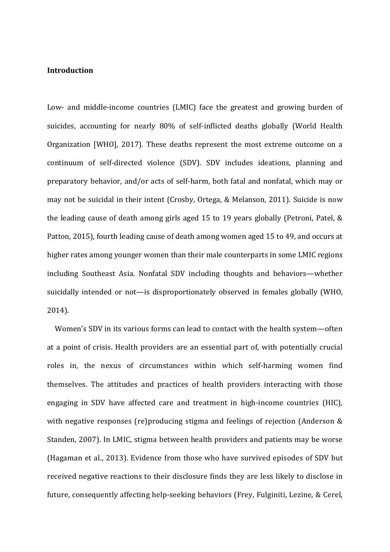#### **Introduction**

Low- and middle-income countries (LMIC) face the greatest and growing burden of suicides, accounting for nearly 80% of self-inflicted deaths globally (World Health Organization [WHO], 2017). These deaths represent the most extreme outcome on a continuum of self-directed violence (SDV). SDV includes ideations, planning and preparatory behavior, and/or acts of self-harm, both fatal and nonfatal, which may or may not be suicidal in their intent (Crosby, Ortega, & Melanson, 2011). Suicide is now the leading cause of death among girls aged 15 to 19 years globally (Petroni, Patel, & Patton, 2015), fourth leading cause of death among women aged 15 to 49, and occurs at higher rates among younger women than their male counterparts in some LMIC regions including Southeast Asia. Nonfatal SDV including thoughts and behaviors—whether suicidally intended or not—is disproportionately observed in females globally (WHO, 2014).

Women's SDV in its various forms can lead to contact with the health system—often at a point of crisis. Health providers are an essential part of, with potentially crucial roles in, the nexus of circumstances within which self-harming women find themselves. The attitudes and practices of health providers interacting with those engaging in SDV have affected care and treatment in high-income countries (HIC), with negative responses (re)producing stigma and feelings of rejection (Anderson & Standen, 2007). In LMIC, stigma between health providers and patients may be worse (Hagaman et al., 2013). Evidence from those who have survived episodes of SDV but received negative reactions to their disclosure finds they are less likely to disclose in future, consequently affecting help-seeking behaviors (Frey, Fulginiti, Lezine, & Cerel,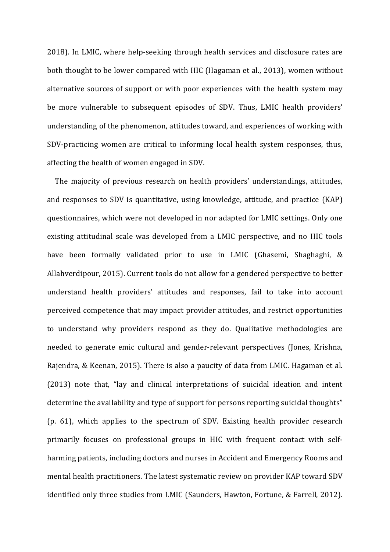2018). In LMIC, where help-seeking through health services and disclosure rates are both thought to be lower compared with HIC (Hagaman et al., 2013), women without alternative sources of support or with poor experiences with the health system may be more vulnerable to subsequent episodes of SDV. Thus, LMIC health providers' understanding of the phenomenon, attitudes toward, and experiences of working with SDV-practicing women are critical to informing local health system responses, thus, affecting the health of women engaged in SDV.

The majority of previous research on health providers' understandings, attitudes, and responses to SDV is quantitative, using knowledge, attitude, and practice (KAP) questionnaires, which were not developed in nor adapted for LMIC settings. Only one existing attitudinal scale was developed from a LMIC perspective, and no HIC tools have been formally validated prior to use in LMIC (Ghasemi, Shaghaghi, & Allahverdipour, 2015). Current tools do not allow for a gendered perspective to better understand health providers' attitudes and responses, fail to take into account perceived competence that may impact provider attitudes, and restrict opportunities to understand why providers respond as they do. Qualitative methodologies are needed to generate emic cultural and gender-relevant perspectives (Jones, Krishna, Rajendra, & Keenan, 2015). There is also a paucity of data from LMIC. Hagaman et al. (2013) note that, "lay and clinical interpretations of suicidal ideation and intent determine the availability and type of support for persons reporting suicidal thoughts" (p. 61), which applies to the spectrum of SDV. Existing health provider research primarily focuses on professional groups in HIC with frequent contact with selfharming patients, including doctors and nurses in Accident and Emergency Rooms and mental health practitioners. The latest systematic review on provider KAP toward SDV identified only three studies from LMIC (Saunders, Hawton, Fortune, & Farrell, 2012).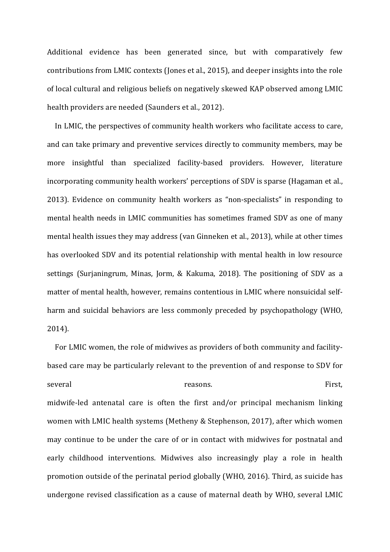Additional evidence has been generated since, but with comparatively few contributions from LMIC contexts (Jones et al., 2015), and deeper insights into the role of local cultural and religious beliefs on negatively skewed KAP observed among LMIC health providers are needed (Saunders et al., 2012).

In LMIC, the perspectives of community health workers who facilitate access to care, and can take primary and preventive services directly to community members, may be more insightful than specialized facility-based providers. However, literature incorporating community health workers' perceptions of SDV is sparse (Hagaman et al., 2013). Evidence on community health workers as "non-specialists" in responding to mental health needs in LMIC communities has sometimes framed SDV as one of many mental health issues they may address (van Ginneken et al., 2013), while at other times has overlooked SDV and its potential relationship with mental health in low resource settings (Surjaningrum, Minas, Jorm, & Kakuma, 2018). The positioning of SDV as a matter of mental health, however, remains contentious in LMIC where nonsuicidal selfharm and suicidal behaviors are less commonly preceded by psychopathology (WHO, 2014).

For LMIC women, the role of midwives as providers of both community and facilitybased care may be particularly relevant to the prevention of and response to SDV for several reasons. The reasons of the reasons. midwife-led antenatal care is often the first and/or principal mechanism linking women with LMIC health systems (Metheny & Stephenson, 2017), after which women may continue to be under the care of or in contact with midwives for postnatal and early childhood interventions. Midwives also increasingly play a role in health promotion outside of the perinatal period globally (WHO, 2016). Third, as suicide has undergone revised classification as a cause of maternal death by WHO, several LMIC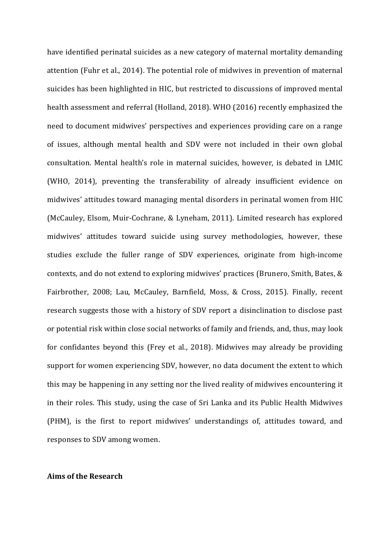have identified perinatal suicides as a new category of maternal mortality demanding attention (Fuhr et al., 2014). The potential role of midwives in prevention of maternal suicides has been highlighted in HIC, but restricted to discussions of improved mental health assessment and referral (Holland, 2018). WHO (2016) recently emphasized the need to document midwives' perspectives and experiences providing care on a range of issues, although mental health and SDV were not included in their own global consultation. Mental health's role in maternal suicides, however, is debated in LMIC (WHO, 2014), preventing the transferability of already insufficient evidence on midwives' attitudes toward managing mental disorders in perinatal women from HIC (McCauley, Elsom, Muir-Cochrane, & Lyneham, 2011). Limited research has explored midwives' attitudes toward suicide using survey methodologies, however, these studies exclude the fuller range of SDV experiences, originate from high-income contexts, and do not extend to exploring midwives' practices (Brunero, Smith, Bates, & Fairbrother, 2008; Lau, McCauley, Barnfield, Moss, & Cross, 2015). Finally, recent research suggests those with a history of SDV report a disinclination to disclose past or potential risk within close social networks of family and friends, and, thus, may look for confidantes beyond this (Frey et al., 2018). Midwives may already be providing support for women experiencing SDV, however, no data document the extent to which this may be happening in any setting nor the lived reality of midwives encountering it in their roles. This study, using the case of Sri Lanka and its Public Health Midwives (PHM), is the first to report midwives' understandings of, attitudes toward, and responses to SDV among women.

#### **Aims of the Research**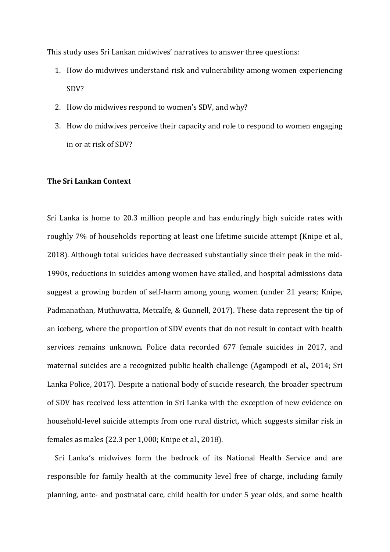This study uses Sri Lankan midwives' narratives to answer three questions:

- 1. How do midwives understand risk and vulnerability among women experiencing SDV?
- 2. How do midwives respond to women's SDV, and why?
- 3. How do midwives perceive their capacity and role to respond to women engaging in or at risk of SDV?

#### **The Sri Lankan Context**

Sri Lanka is home to 20.3 million people and has enduringly high suicide rates with roughly 7% of households reporting at least one lifetime suicide attempt (Knipe et al., 2018). Although total suicides have decreased substantially since their peak in the mid-1990s, reductions in suicides among women have stalled, and hospital admissions data suggest a growing burden of self-harm among young women (under 21 years; Knipe, Padmanathan, Muthuwatta, Metcalfe, & Gunnell, 2017). These data represent the tip of an iceberg, where the proportion of SDV events that do not result in contact with health services remains unknown. Police data recorded 677 female suicides in 2017, and maternal suicides are a recognized public health challenge (Agampodi et al., 2014; Sri Lanka Police, 2017). Despite a national body of suicide research, the broader spectrum of SDV has received less attention in Sri Lanka with the exception of new evidence on household-level suicide attempts from one rural district, which suggests similar risk in females as males (22.3 per 1,000; Knipe et al., 2018).

Sri Lanka's midwives form the bedrock of its National Health Service and are responsible for family health at the community level free of charge, including family planning, ante- and postnatal care, child health for under 5 year olds, and some health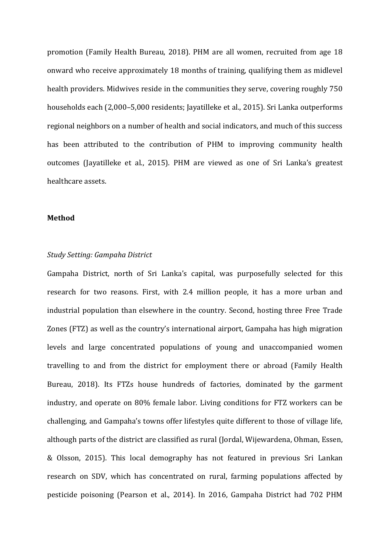promotion (Family Health Bureau, 2018). PHM are all women, recruited from age 18 onward who receive approximately 18 months of training, qualifying them as midlevel health providers. Midwives reside in the communities they serve, covering roughly 750 households each (2,000–5,000 residents; Jayatilleke et al., 2015). Sri Lanka outperforms regional neighbors on a number of health and social indicators, and much of this success has been attributed to the contribution of PHM to improving community health outcomes (Jayatilleke et al., 2015). PHM are viewed as one of Sri Lanka's greatest healthcare assets.

#### **Method**

## *Study Setting: Gampaha District*

Gampaha District, north of Sri Lanka's capital, was purposefully selected for this research for two reasons. First, with 2.4 million people, it has a more urban and industrial population than elsewhere in the country. Second, hosting three Free Trade Zones (FTZ) as well as the country's international airport, Gampaha has high migration levels and large concentrated populations of young and unaccompanied women travelling to and from the district for employment there or abroad (Family Health Bureau, 2018). Its FTZs house hundreds of factories, dominated by the garment industry, and operate on 80% female labor. Living conditions for FTZ workers can be challenging, and Gampaha's towns offer lifestyles quite different to those of village life, although parts of the district are classified as rural (Jordal, Wijewardena, Ohman, Essen, & Olsson, 2015). This local demography has not featured in previous Sri Lankan research on SDV, which has concentrated on rural, farming populations affected by pesticide poisoning (Pearson et al., 2014). In 2016, Gampaha District had 702 PHM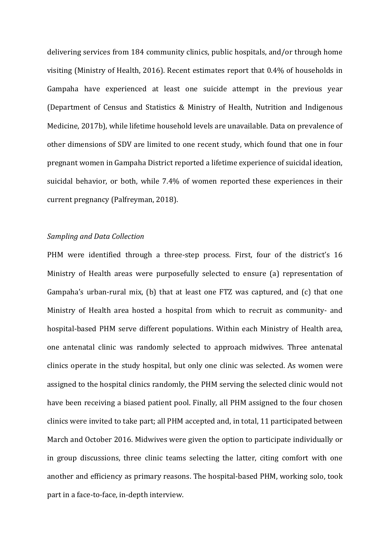delivering services from 184 community clinics, public hospitals, and/or through home visiting (Ministry of Health, 2016). Recent estimates report that 0.4% of households in Gampaha have experienced at least one suicide attempt in the previous year (Department of Census and Statistics & Ministry of Health, Nutrition and Indigenous Medicine, 2017b), while lifetime household levels are unavailable. Data on prevalence of other dimensions of SDV are limited to one recent study, which found that one in four pregnant women in Gampaha District reported a lifetime experience of suicidal ideation, suicidal behavior, or both, while 7.4% of women reported these experiences in their current pregnancy (Palfreyman, 2018).

#### *Sampling and Data Collection*

PHM were identified through a three-step process. First, four of the district's 16 Ministry of Health areas were purposefully selected to ensure (a) representation of Gampaha's urban-rural mix, (b) that at least one FTZ was captured, and (c) that one Ministry of Health area hosted a hospital from which to recruit as community- and hospital-based PHM serve different populations. Within each Ministry of Health area, one antenatal clinic was randomly selected to approach midwives. Three antenatal clinics operate in the study hospital, but only one clinic was selected. As women were assigned to the hospital clinics randomly, the PHM serving the selected clinic would not have been receiving a biased patient pool. Finally, all PHM assigned to the four chosen clinics were invited to take part; all PHM accepted and, in total, 11 participated between March and October 2016. Midwives were given the option to participate individually or in group discussions, three clinic teams selecting the latter, citing comfort with one another and efficiency as primary reasons. The hospital-based PHM, working solo, took part in a face-to-face, in-depth interview.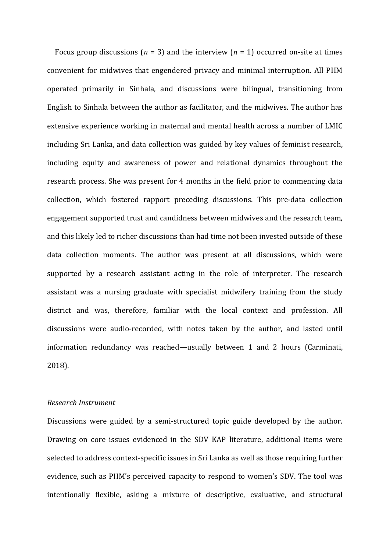Focus group discussions ( $n = 3$ ) and the interview ( $n = 1$ ) occurred on-site at times convenient for midwives that engendered privacy and minimal interruption. All PHM operated primarily in Sinhala, and discussions were bilingual, transitioning from English to Sinhala between the author as facilitator, and the midwives. The author has extensive experience working in maternal and mental health across a number of LMIC including Sri Lanka, and data collection was guided by key values of feminist research, including equity and awareness of power and relational dynamics throughout the research process. She was present for 4 months in the field prior to commencing data collection, which fostered rapport preceding discussions. This pre-data collection engagement supported trust and candidness between midwives and the research team, and this likely led to richer discussions than had time not been invested outside of these data collection moments. The author was present at all discussions, which were supported by a research assistant acting in the role of interpreter. The research assistant was a nursing graduate with specialist midwifery training from the study district and was, therefore, familiar with the local context and profession. All discussions were audio-recorded, with notes taken by the author, and lasted until information redundancy was reached—usually between 1 and 2 hours (Carminati, 2018).

#### *Research Instrument*

Discussions were guided by a semi-structured topic guide developed by the author. Drawing on core issues evidenced in the SDV KAP literature, additional items were selected to address context-specific issues in Sri Lanka as well as those requiring further evidence, such as PHM's perceived capacity to respond to women's SDV. The tool was intentionally flexible, asking a mixture of descriptive, evaluative, and structural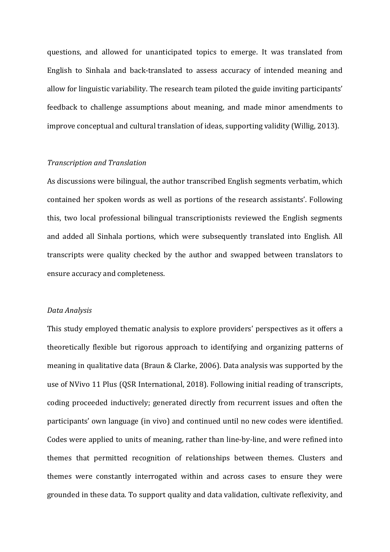questions, and allowed for unanticipated topics to emerge. It was translated from English to Sinhala and back-translated to assess accuracy of intended meaning and allow for linguistic variability. The research team piloted the guide inviting participants' feedback to challenge assumptions about meaning, and made minor amendments to improve conceptual and cultural translation of ideas, supporting validity (Willig, 2013).

## *Transcription and Translation*

As discussions were bilingual, the author transcribed English segments verbatim, which contained her spoken words as well as portions of the research assistants'. Following this, two local professional bilingual transcriptionists reviewed the English segments and added all Sinhala portions, which were subsequently translated into English. All transcripts were quality checked by the author and swapped between translators to ensure accuracy and completeness.

#### *Data Analysis*

This study employed thematic analysis to explore providers' perspectives as it offers a theoretically flexible but rigorous approach to identifying and organizing patterns of meaning in qualitative data (Braun & Clarke, 2006). Data analysis was supported by the use of NVivo 11 Plus (QSR International, 2018). Following initial reading of transcripts, coding proceeded inductively; generated directly from recurrent issues and often the participants' own language (in vivo) and continued until no new codes were identified. Codes were applied to units of meaning, rather than line-by-line, and were refined into themes that permitted recognition of relationships between themes. Clusters and themes were constantly interrogated within and across cases to ensure they were grounded in these data. To support quality and data validation, cultivate reflexivity, and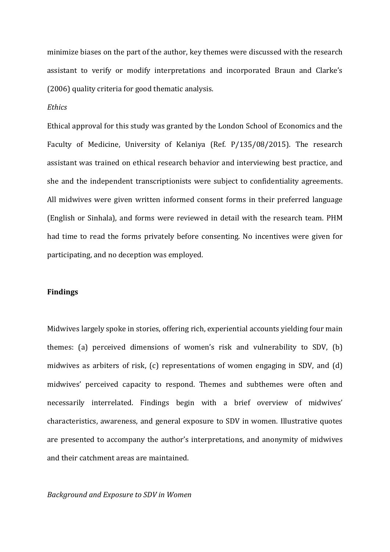minimize biases on the part of the author, key themes were discussed with the research assistant to verify or modify interpretations and incorporated Braun and Clarke's (2006) quality criteria for good thematic analysis.

#### *Ethics*

Ethical approval for this study was granted by the London School of Economics and the Faculty of Medicine, University of Kelaniya (Ref. P/135/08/2015). The research assistant was trained on ethical research behavior and interviewing best practice, and she and the independent transcriptionists were subject to confidentiality agreements. All midwives were given written informed consent forms in their preferred language (English or Sinhala), and forms were reviewed in detail with the research team. PHM had time to read the forms privately before consenting. No incentives were given for participating, and no deception was employed.

#### **Findings**

Midwives largely spoke in stories, offering rich, experiential accounts yielding four main themes: (a) perceived dimensions of women's risk and vulnerability to SDV, (b) midwives as arbiters of risk, (c) representations of women engaging in SDV, and (d) midwives' perceived capacity to respond. Themes and subthemes were often and necessarily interrelated. Findings begin with a brief overview of midwives' characteristics, awareness, and general exposure to SDV in women. Illustrative quotes are presented to accompany the author's interpretations, and anonymity of midwives and their catchment areas are maintained.

#### *Background and Exposure to SDV in Women*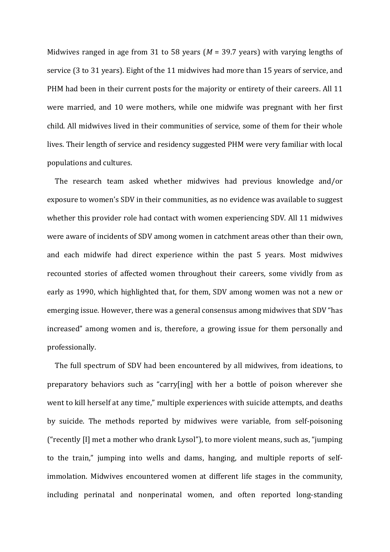Midwives ranged in age from 31 to 58 years (*M* = 39.7 years) with varying lengths of service (3 to 31 years). Eight of the 11 midwives had more than 15 years of service, and PHM had been in their current posts for the majority or entirety of their careers. All 11 were married, and 10 were mothers, while one midwife was pregnant with her first child. All midwives lived in their communities of service, some of them for their whole lives. Their length of service and residency suggested PHM were very familiar with local populations and cultures.

The research team asked whether midwives had previous knowledge and/or exposure to women's SDV in their communities, as no evidence was available to suggest whether this provider role had contact with women experiencing SDV. All 11 midwives were aware of incidents of SDV among women in catchment areas other than their own, and each midwife had direct experience within the past 5 years. Most midwives recounted stories of affected women throughout their careers, some vividly from as early as 1990, which highlighted that, for them, SDV among women was not a new or emerging issue. However, there was a general consensus among midwives that SDV "has increased" among women and is, therefore, a growing issue for them personally and professionally.

The full spectrum of SDV had been encountered by all midwives, from ideations, to preparatory behaviors such as "carry[ing] with her a bottle of poison wherever she went to kill herself at any time," multiple experiences with suicide attempts, and deaths by suicide. The methods reported by midwives were variable, from self-poisoning ("recently [I] met a mother who drank Lysol"), to more violent means, such as, "jumping to the train," jumping into wells and dams, hanging, and multiple reports of selfimmolation. Midwives encountered women at different life stages in the community, including perinatal and nonperinatal women, and often reported long-standing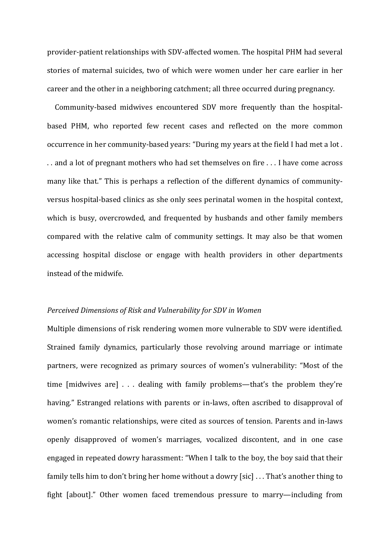provider-patient relationships with SDV-affected women. The hospital PHM had several stories of maternal suicides, two of which were women under her care earlier in her career and the other in a neighboring catchment; all three occurred during pregnancy.

Community-based midwives encountered SDV more frequently than the hospitalbased PHM, who reported few recent cases and reflected on the more common occurrence in her community-based years: "During my years at the field I had met a lot . . . and a lot of pregnant mothers who had set themselves on fire . . . I have come across many like that." This is perhaps a reflection of the different dynamics of communityversus hospital-based clinics as she only sees perinatal women in the hospital context, which is busy, overcrowded, and frequented by husbands and other family members compared with the relative calm of community settings. It may also be that women accessing hospital disclose or engage with health providers in other departments instead of the midwife.

#### *Perceived Dimensions of Risk and Vulnerability for SDV in Women*

Multiple dimensions of risk rendering women more vulnerable to SDV were identified. Strained family dynamics, particularly those revolving around marriage or intimate partners, were recognized as primary sources of women's vulnerability: "Most of the time [midwives are] . . . dealing with family problems—that's the problem they're having." Estranged relations with parents or in-laws, often ascribed to disapproval of women's romantic relationships, were cited as sources of tension. Parents and in-laws openly disapproved of women's marriages, vocalized discontent, and in one case engaged in repeated dowry harassment: "When I talk to the boy, the boy said that their family tells him to don't bring her home without a dowry [sic] . . . That's another thing to fight [about]." Other women faced tremendous pressure to marry—including from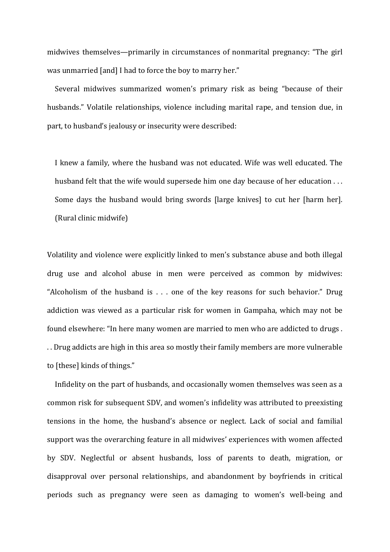midwives themselves—primarily in circumstances of nonmarital pregnancy: "The girl was unmarried [and] I had to force the boy to marry her."

Several midwives summarized women's primary risk as being "because of their husbands." Volatile relationships, violence including marital rape, and tension due, in part, to husband's jealousy or insecurity were described:

I knew a family, where the husband was not educated. Wife was well educated. The husband felt that the wife would supersede him one day because of her education . . . Some days the husband would bring swords [large knives] to cut her [harm her]. (Rural clinic midwife)

Volatility and violence were explicitly linked to men's substance abuse and both illegal drug use and alcohol abuse in men were perceived as common by midwives: "Alcoholism of the husband is . . . one of the key reasons for such behavior." Drug addiction was viewed as a particular risk for women in Gampaha, which may not be found elsewhere: "In here many women are married to men who are addicted to drugs . . . Drug addicts are high in this area so mostly their family members are more vulnerable to [these] kinds of things."

Infidelity on the part of husbands, and occasionally women themselves was seen as a common risk for subsequent SDV, and women's infidelity was attributed to preexisting tensions in the home, the husband's absence or neglect. Lack of social and familial support was the overarching feature in all midwives' experiences with women affected by SDV. Neglectful or absent husbands, loss of parents to death, migration, or disapproval over personal relationships, and abandonment by boyfriends in critical periods such as pregnancy were seen as damaging to women's well-being and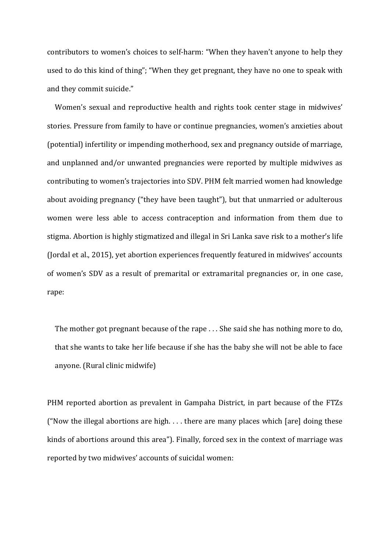contributors to women's choices to self-harm: "When they haven't anyone to help they used to do this kind of thing"; "When they get pregnant, they have no one to speak with and they commit suicide."

Women's sexual and reproductive health and rights took center stage in midwives' stories. Pressure from family to have or continue pregnancies, women's anxieties about (potential) infertility or impending motherhood, sex and pregnancy outside of marriage, and unplanned and/or unwanted pregnancies were reported by multiple midwives as contributing to women's trajectories into SDV. PHM felt married women had knowledge about avoiding pregnancy ("they have been taught"), but that unmarried or adulterous women were less able to access contraception and information from them due to stigma. Abortion is highly stigmatized and illegal in Sri Lanka save risk to a mother's life (Jordal et al., 2015), yet abortion experiences frequently featured in midwives' accounts of women's SDV as a result of premarital or extramarital pregnancies or, in one case, rape:

The mother got pregnant because of the rape . . . She said she has nothing more to do, that she wants to take her life because if she has the baby she will not be able to face anyone. (Rural clinic midwife)

PHM reported abortion as prevalent in Gampaha District, in part because of the FTZs ("Now the illegal abortions are high. . . . there are many places which [are] doing these kinds of abortions around this area"). Finally, forced sex in the context of marriage was reported by two midwives' accounts of suicidal women: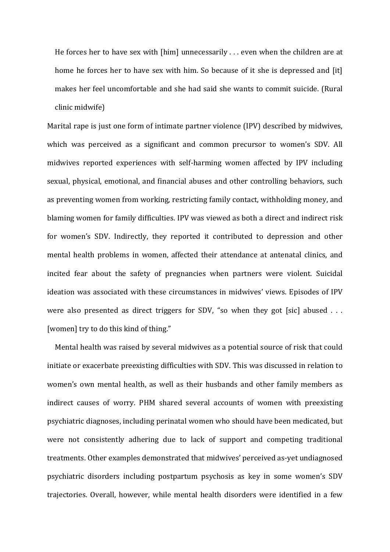He forces her to have sex with [him] unnecessarily . . . even when the children are at home he forces her to have sex with him. So because of it she is depressed and [it] makes her feel uncomfortable and she had said she wants to commit suicide. (Rural clinic midwife)

Marital rape is just one form of intimate partner violence (IPV) described by midwives, which was perceived as a significant and common precursor to women's SDV. All midwives reported experiences with self-harming women affected by IPV including sexual, physical, emotional, and financial abuses and other controlling behaviors, such as preventing women from working, restricting family contact, withholding money, and blaming women for family difficulties. IPV was viewed as both a direct and indirect risk for women's SDV. Indirectly, they reported it contributed to depression and other mental health problems in women, affected their attendance at antenatal clinics, and incited fear about the safety of pregnancies when partners were violent. Suicidal ideation was associated with these circumstances in midwives' views. Episodes of IPV were also presented as direct triggers for SDV, "so when they got [sic] abused . . . [women] try to do this kind of thing."

Mental health was raised by several midwives as a potential source of risk that could initiate or exacerbate preexisting difficulties with SDV. This was discussed in relation to women's own mental health, as well as their husbands and other family members as indirect causes of worry. PHM shared several accounts of women with preexisting psychiatric diagnoses, including perinatal women who should have been medicated, but were not consistently adhering due to lack of support and competing traditional treatments. Other examples demonstrated that midwives' perceived as-yet undiagnosed psychiatric disorders including postpartum psychosis as key in some women's SDV trajectories. Overall, however, while mental health disorders were identified in a few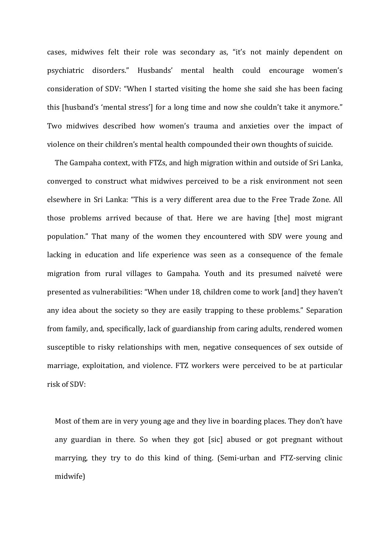cases, midwives felt their role was secondary as, "it's not mainly dependent on psychiatric disorders." Husbands' mental health could encourage women's consideration of SDV: "When I started visiting the home she said she has been facing this [husband's 'mental stress'] for a long time and now she couldn't take it anymore." Two midwives described how women's trauma and anxieties over the impact of violence on their children's mental health compounded their own thoughts of suicide.

The Gampaha context, with FTZs, and high migration within and outside of Sri Lanka, converged to construct what midwives perceived to be a risk environment not seen elsewhere in Sri Lanka: "This is a very different area due to the Free Trade Zone. All those problems arrived because of that. Here we are having [the] most migrant population." That many of the women they encountered with SDV were young and lacking in education and life experience was seen as a consequence of the female migration from rural villages to Gampaha. Youth and its presumed naïveté were presented as vulnerabilities: "When under 18, children come to work [and] they haven't any idea about the society so they are easily trapping to these problems." Separation from family, and, specifically, lack of guardianship from caring adults, rendered women susceptible to risky relationships with men, negative consequences of sex outside of marriage, exploitation, and violence. FTZ workers were perceived to be at particular risk of SDV:

Most of them are in very young age and they live in boarding places. They don't have any guardian in there. So when they got [sic] abused or got pregnant without marrying, they try to do this kind of thing. (Semi-urban and FTZ-serving clinic midwife)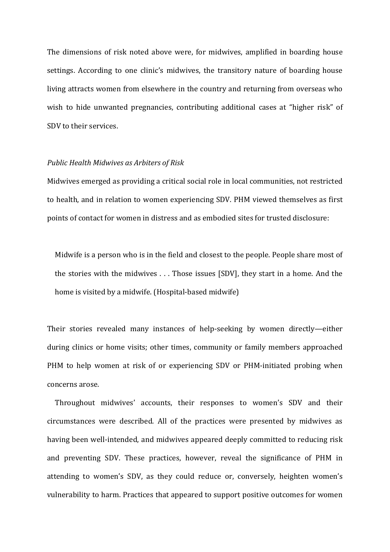The dimensions of risk noted above were, for midwives, amplified in boarding house settings. According to one clinic's midwives, the transitory nature of boarding house living attracts women from elsewhere in the country and returning from overseas who wish to hide unwanted pregnancies, contributing additional cases at "higher risk" of SDV to their services.

#### *Public Health Midwives as Arbiters of Risk*

Midwives emerged as providing a critical social role in local communities, not restricted to health, and in relation to women experiencing SDV. PHM viewed themselves as first points of contact for women in distress and as embodied sites for trusted disclosure:

Midwife is a person who is in the field and closest to the people. People share most of the stories with the midwives . . . Those issues [SDV], they start in a home. And the home is visited by a midwife. (Hospital-based midwife)

Their stories revealed many instances of help-seeking by women directly—either during clinics or home visits; other times, community or family members approached PHM to help women at risk of or experiencing SDV or PHM-initiated probing when concerns arose.

Throughout midwives' accounts, their responses to women's SDV and their circumstances were described. All of the practices were presented by midwives as having been well-intended, and midwives appeared deeply committed to reducing risk and preventing SDV. These practices, however, reveal the significance of PHM in attending to women's SDV, as they could reduce or, conversely, heighten women's vulnerability to harm. Practices that appeared to support positive outcomes for women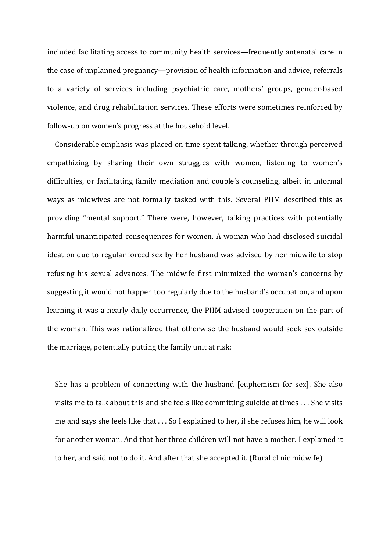included facilitating access to community health services—frequently antenatal care in the case of unplanned pregnancy—provision of health information and advice, referrals to a variety of services including psychiatric care, mothers' groups, gender-based violence, and drug rehabilitation services. These efforts were sometimes reinforced by follow-up on women's progress at the household level.

Considerable emphasis was placed on time spent talking, whether through perceived empathizing by sharing their own struggles with women, listening to women's difficulties, or facilitating family mediation and couple's counseling, albeit in informal ways as midwives are not formally tasked with this. Several PHM described this as providing "mental support." There were, however, talking practices with potentially harmful unanticipated consequences for women. A woman who had disclosed suicidal ideation due to regular forced sex by her husband was advised by her midwife to stop refusing his sexual advances. The midwife first minimized the woman's concerns by suggesting it would not happen too regularly due to the husband's occupation, and upon learning it was a nearly daily occurrence, the PHM advised cooperation on the part of the woman. This was rationalized that otherwise the husband would seek sex outside the marriage, potentially putting the family unit at risk:

She has a problem of connecting with the husband [euphemism for sex]. She also visits me to talk about this and she feels like committing suicide at times . . . She visits me and says she feels like that . . . So I explained to her, if she refuses him, he will look for another woman. And that her three children will not have a mother. I explained it to her, and said not to do it. And after that she accepted it. (Rural clinic midwife)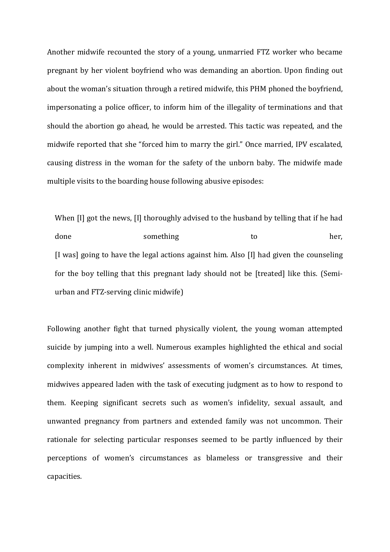Another midwife recounted the story of a young, unmarried FTZ worker who became pregnant by her violent boyfriend who was demanding an abortion. Upon finding out about the woman's situation through a retired midwife, this PHM phoned the boyfriend, impersonating a police officer, to inform him of the illegality of terminations and that should the abortion go ahead, he would be arrested. This tactic was repeated, and the midwife reported that she "forced him to marry the girl." Once married, IPV escalated, causing distress in the woman for the safety of the unborn baby. The midwife made multiple visits to the boarding house following abusive episodes:

When [I] got the news, [I] thoroughly advised to the husband by telling that if he had done something to to her, [I was] going to have the legal actions against him. Also [I] had given the counseling for the boy telling that this pregnant lady should not be [treated] like this. (Semiurban and FTZ-serving clinic midwife)

Following another fight that turned physically violent, the young woman attempted suicide by jumping into a well. Numerous examples highlighted the ethical and social complexity inherent in midwives' assessments of women's circumstances. At times, midwives appeared laden with the task of executing judgment as to how to respond to them. Keeping significant secrets such as women's infidelity, sexual assault, and unwanted pregnancy from partners and extended family was not uncommon. Their rationale for selecting particular responses seemed to be partly influenced by their perceptions of women's circumstances as blameless or transgressive and their capacities.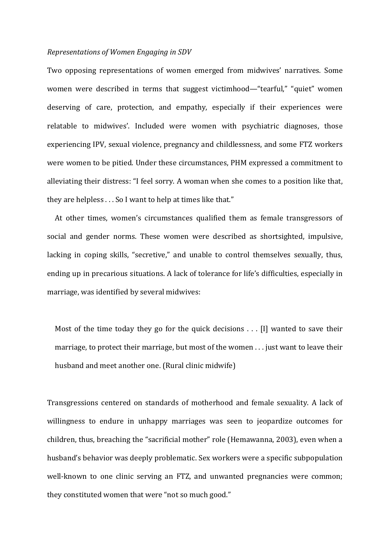#### *Representations of Women Engaging in SDV*

Two opposing representations of women emerged from midwives' narratives. Some women were described in terms that suggest victimhood—"tearful," "quiet" women deserving of care, protection, and empathy, especially if their experiences were relatable to midwives'. Included were women with psychiatric diagnoses, those experiencing IPV, sexual violence, pregnancy and childlessness, and some FTZ workers were women to be pitied. Under these circumstances, PHM expressed a commitment to alleviating their distress: "I feel sorry. A woman when she comes to a position like that, they are helpless . . . So I want to help at times like that."

At other times, women's circumstances qualified them as female transgressors of social and gender norms. These women were described as shortsighted, impulsive, lacking in coping skills, "secretive," and unable to control themselves sexually, thus, ending up in precarious situations. A lack of tolerance for life's difficulties, especially in marriage, was identified by several midwives:

Most of the time today they go for the quick decisions . . . [I] wanted to save their marriage, to protect their marriage, but most of the women . . . just want to leave their husband and meet another one. (Rural clinic midwife)

Transgressions centered on standards of motherhood and female sexuality. A lack of willingness to endure in unhappy marriages was seen to jeopardize outcomes for children, thus, breaching the "sacrificial mother" role (Hemawanna, 2003), even when a husband's behavior was deeply problematic. Sex workers were a specific subpopulation well-known to one clinic serving an FTZ, and unwanted pregnancies were common; they constituted women that were "not so much good."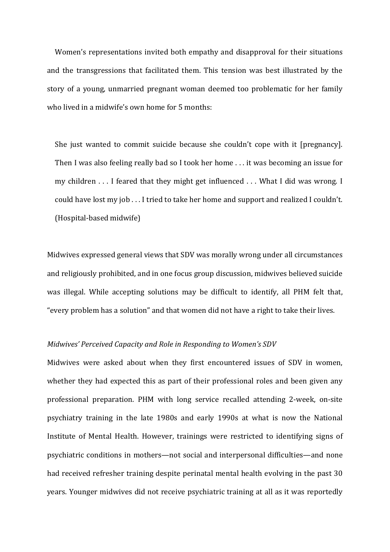Women's representations invited both empathy and disapproval for their situations and the transgressions that facilitated them. This tension was best illustrated by the story of a young, unmarried pregnant woman deemed too problematic for her family who lived in a midwife's own home for 5 months:

She just wanted to commit suicide because she couldn't cope with it [pregnancy]. Then I was also feeling really bad so I took her home . . . it was becoming an issue for my children . . . I feared that they might get influenced . . . What I did was wrong. I could have lost my job . . . I tried to take her home and support and realized I couldn't. (Hospital-based midwife)

Midwives expressed general views that SDV was morally wrong under all circumstances and religiously prohibited, and in one focus group discussion, midwives believed suicide was illegal. While accepting solutions may be difficult to identify, all PHM felt that, "every problem has a solution" and that women did not have a right to take their lives.

#### *Midwives' Perceived Capacity and Role in Responding to Women's SDV*

Midwives were asked about when they first encountered issues of SDV in women, whether they had expected this as part of their professional roles and been given any professional preparation. PHM with long service recalled attending 2-week, on-site psychiatry training in the late 1980s and early 1990s at what is now the National Institute of Mental Health. However, trainings were restricted to identifying signs of psychiatric conditions in mothers—not social and interpersonal difficulties—and none had received refresher training despite perinatal mental health evolving in the past 30 years. Younger midwives did not receive psychiatric training at all as it was reportedly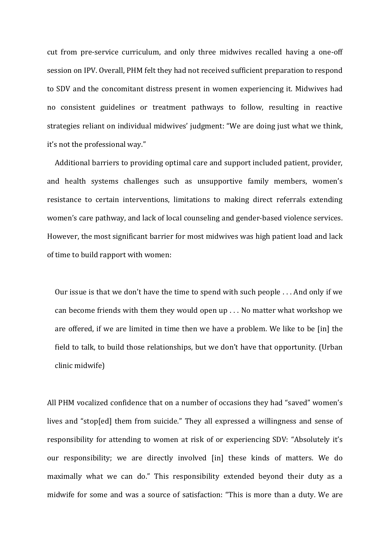cut from pre-service curriculum, and only three midwives recalled having a one-off session on IPV. Overall, PHM felt they had not received sufficient preparation to respond to SDV and the concomitant distress present in women experiencing it. Midwives had no consistent guidelines or treatment pathways to follow, resulting in reactive strategies reliant on individual midwives' judgment: "We are doing just what we think, it's not the professional way."

Additional barriers to providing optimal care and support included patient, provider, and health systems challenges such as unsupportive family members, women's resistance to certain interventions, limitations to making direct referrals extending women's care pathway, and lack of local counseling and gender-based violence services. However, the most significant barrier for most midwives was high patient load and lack of time to build rapport with women:

Our issue is that we don't have the time to spend with such people . . . And only if we can become friends with them they would open up . . . No matter what workshop we are offered, if we are limited in time then we have a problem. We like to be [in] the field to talk, to build those relationships, but we don't have that opportunity. (Urban clinic midwife)

All PHM vocalized confidence that on a number of occasions they had "saved" women's lives and "stop[ed] them from suicide." They all expressed a willingness and sense of responsibility for attending to women at risk of or experiencing SDV: "Absolutely it's our responsibility; we are directly involved [in] these kinds of matters. We do maximally what we can do." This responsibility extended beyond their duty as a midwife for some and was a source of satisfaction: "This is more than a duty. We are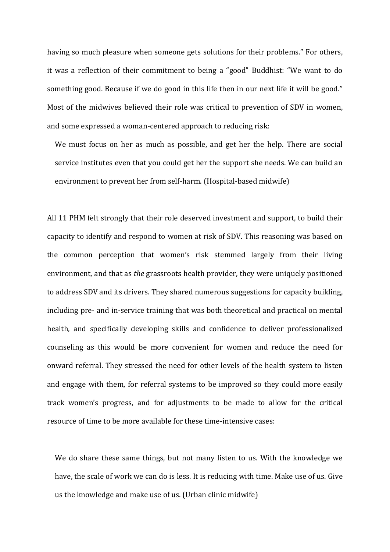having so much pleasure when someone gets solutions for their problems." For others, it was a reflection of their commitment to being a "good" Buddhist: "We want to do something good. Because if we do good in this life then in our next life it will be good." Most of the midwives believed their role was critical to prevention of SDV in women, and some expressed a woman-centered approach to reducing risk:

We must focus on her as much as possible, and get her the help. There are social service institutes even that you could get her the support she needs. We can build an environment to prevent her from self-harm. (Hospital-based midwife)

All 11 PHM felt strongly that their role deserved investment and support, to build their capacity to identify and respond to women at risk of SDV. This reasoning was based on the common perception that women's risk stemmed largely from their living environment, and that as *the* grassroots health provider, they were uniquely positioned to address SDV and its drivers. They shared numerous suggestions for capacity building, including pre- and in-service training that was both theoretical and practical on mental health, and specifically developing skills and confidence to deliver professionalized counseling as this would be more convenient for women and reduce the need for onward referral. They stressed the need for other levels of the health system to listen and engage with them, for referral systems to be improved so they could more easily track women's progress, and for adjustments to be made to allow for the critical resource of time to be more available for these time-intensive cases:

We do share these same things, but not many listen to us. With the knowledge we have, the scale of work we can do is less. It is reducing with time. Make use of us. Give us the knowledge and make use of us. (Urban clinic midwife)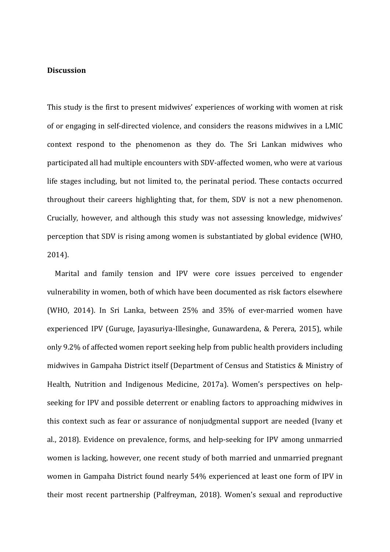#### **Discussion**

This study is the first to present midwives' experiences of working with women at risk of or engaging in self-directed violence, and considers the reasons midwives in a LMIC context respond to the phenomenon as they do. The Sri Lankan midwives who participated all had multiple encounters with SDV-affected women, who were at various life stages including, but not limited to, the perinatal period. These contacts occurred throughout their careers highlighting that, for them, SDV is not a new phenomenon. Crucially, however, and although this study was not assessing knowledge, midwives' perception that SDV is rising among women is substantiated by global evidence (WHO, 2014).

Marital and family tension and IPV were core issues perceived to engender vulnerability in women, both of which have been documented as risk factors elsewhere (WHO, 2014). In Sri Lanka, between 25% and 35% of ever-married women have experienced IPV (Guruge, Jayasuriya-Illesinghe, Gunawardena, & Perera, 2015), while only 9.2% of affected women report seeking help from public health providers including midwives in Gampaha District itself (Department of Census and Statistics & Ministry of Health, Nutrition and Indigenous Medicine, 2017a). Women's perspectives on helpseeking for IPV and possible deterrent or enabling factors to approaching midwives in this context such as fear or assurance of nonjudgmental support are needed (Ivany et al., 2018). Evidence on prevalence, forms, and help-seeking for IPV among unmarried women is lacking, however, one recent study of both married and unmarried pregnant women in Gampaha District found nearly 54% experienced at least one form of IPV in their most recent partnership (Palfreyman, 2018). Women's sexual and reproductive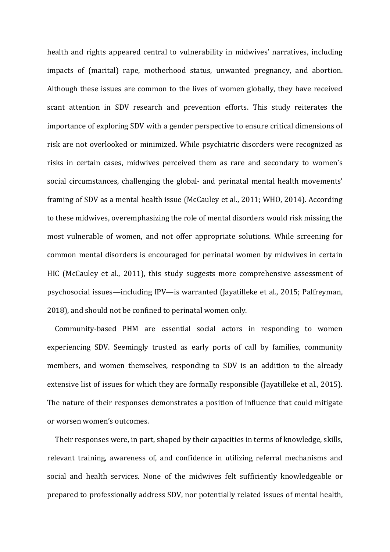health and rights appeared central to vulnerability in midwives' narratives, including impacts of (marital) rape, motherhood status, unwanted pregnancy, and abortion. Although these issues are common to the lives of women globally, they have received scant attention in SDV research and prevention efforts. This study reiterates the importance of exploring SDV with a gender perspective to ensure critical dimensions of risk are not overlooked or minimized. While psychiatric disorders were recognized as risks in certain cases, midwives perceived them as rare and secondary to women's social circumstances, challenging the global- and perinatal mental health movements' framing of SDV as a mental health issue (McCauley et al., 2011; WHO, 2014). According to these midwives, overemphasizing the role of mental disorders would risk missing the most vulnerable of women, and not offer appropriate solutions. While screening for common mental disorders is encouraged for perinatal women by midwives in certain HIC (McCauley et al., 2011), this study suggests more comprehensive assessment of psychosocial issues—including IPV—is warranted (Jayatilleke et al., 2015; Palfreyman, 2018), and should not be confined to perinatal women only.

Community-based PHM are essential social actors in responding to women experiencing SDV. Seemingly trusted as early ports of call by families, community members, and women themselves, responding to SDV is an addition to the already extensive list of issues for which they are formally responsible (Jayatilleke et al., 2015). The nature of their responses demonstrates a position of influence that could mitigate or worsen women's outcomes.

Their responses were, in part, shaped by their capacities in terms of knowledge, skills, relevant training, awareness of, and confidence in utilizing referral mechanisms and social and health services. None of the midwives felt sufficiently knowledgeable or prepared to professionally address SDV, nor potentially related issues of mental health,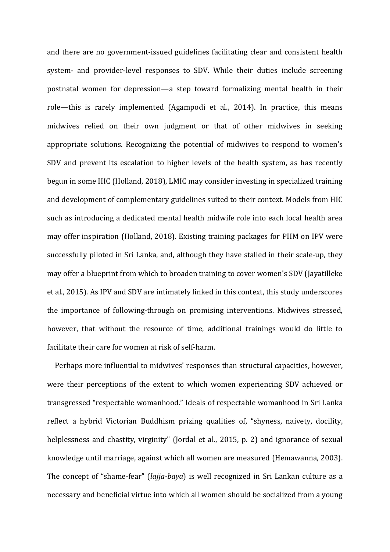and there are no government-issued guidelines facilitating clear and consistent health system- and provider-level responses to SDV. While their duties include screening postnatal women for depression—a step toward formalizing mental health in their role—this is rarely implemented (Agampodi et al., 2014). In practice, this means midwives relied on their own judgment or that of other midwives in seeking appropriate solutions. Recognizing the potential of midwives to respond to women's SDV and prevent its escalation to higher levels of the health system, as has recently begun in some HIC (Holland, 2018), LMIC may consider investing in specialized training and development of complementary guidelines suited to their context. Models from HIC such as introducing a dedicated mental health midwife role into each local health area may offer inspiration (Holland, 2018). Existing training packages for PHM on IPV were successfully piloted in Sri Lanka, and, although they have stalled in their scale-up, they may offer a blueprint from which to broaden training to cover women's SDV (Jayatilleke et al., 2015). As IPV and SDV are intimately linked in this context, this study underscores the importance of following-through on promising interventions. Midwives stressed, however, that without the resource of time, additional trainings would do little to facilitate their care for women at risk of self-harm.

Perhaps more influential to midwives' responses than structural capacities, however, were their perceptions of the extent to which women experiencing SDV achieved or transgressed "respectable womanhood." Ideals of respectable womanhood in Sri Lanka reflect a hybrid Victorian Buddhism prizing qualities of, "shyness, naivety, docility, helplessness and chastity, virginity" (Jordal et al., 2015, p. 2) and ignorance of sexual knowledge until marriage, against which all women are measured (Hemawanna, 2003). The concept of "shame-fear" (*lajja-baya*) is well recognized in Sri Lankan culture as a necessary and beneficial virtue into which all women should be socialized from a young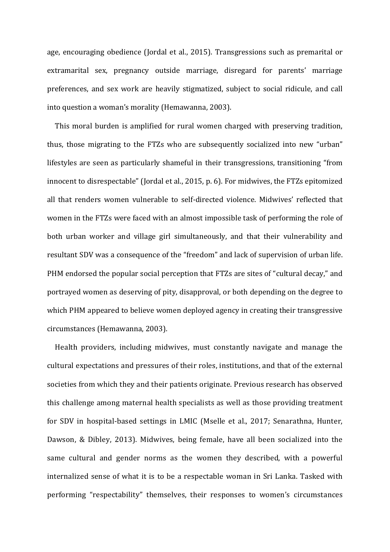age, encouraging obedience (Jordal et al., 2015). Transgressions such as premarital or extramarital sex, pregnancy outside marriage, disregard for parents' marriage preferences, and sex work are heavily stigmatized, subject to social ridicule, and call into question a woman's morality (Hemawanna, 2003).

This moral burden is amplified for rural women charged with preserving tradition, thus, those migrating to the FTZs who are subsequently socialized into new "urban" lifestyles are seen as particularly shameful in their transgressions, transitioning "from innocent to disrespectable" (Jordal et al., 2015, p. 6). For midwives, the FTZs epitomized all that renders women vulnerable to self-directed violence. Midwives' reflected that women in the FTZs were faced with an almost impossible task of performing the role of both urban worker and village girl simultaneously, and that their vulnerability and resultant SDV was a consequence of the "freedom" and lack of supervision of urban life. PHM endorsed the popular social perception that FTZs are sites of "cultural decay," and portrayed women as deserving of pity, disapproval, or both depending on the degree to which PHM appeared to believe women deployed agency in creating their transgressive circumstances (Hemawanna, 2003).

Health providers, including midwives, must constantly navigate and manage the cultural expectations and pressures of their roles, institutions, and that of the external societies from which they and their patients originate. Previous research has observed this challenge among maternal health specialists as well as those providing treatment for SDV in hospital-based settings in LMIC (Mselle et al., 2017; Senarathna, Hunter, Dawson, & Dibley, 2013). Midwives, being female, have all been socialized into the same cultural and gender norms as the women they described, with a powerful internalized sense of what it is to be a respectable woman in Sri Lanka. Tasked with performing "respectability" themselves, their responses to women's circumstances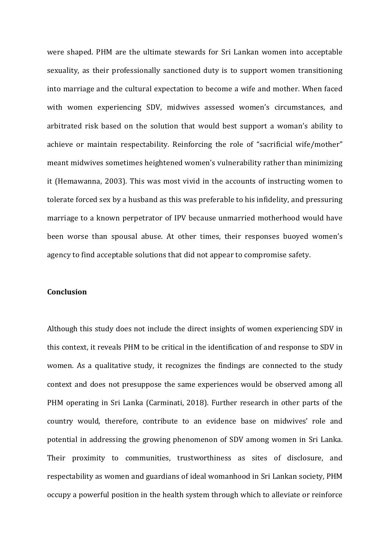were shaped. PHM are the ultimate stewards for Sri Lankan women into acceptable sexuality, as their professionally sanctioned duty is to support women transitioning into marriage and the cultural expectation to become a wife and mother. When faced with women experiencing SDV, midwives assessed women's circumstances, and arbitrated risk based on the solution that would best support a woman's ability to achieve or maintain respectability. Reinforcing the role of "sacrificial wife/mother" meant midwives sometimes heightened women's vulnerability rather than minimizing it (Hemawanna, 2003). This was most vivid in the accounts of instructing women to tolerate forced sex by a husband as this was preferable to his infidelity, and pressuring marriage to a known perpetrator of IPV because unmarried motherhood would have been worse than spousal abuse. At other times, their responses buoyed women's agency to find acceptable solutions that did not appear to compromise safety.

#### **Conclusion**

Although this study does not include the direct insights of women experiencing SDV in this context, it reveals PHM to be critical in the identification of and response to SDV in women. As a qualitative study, it recognizes the findings are connected to the study context and does not presuppose the same experiences would be observed among all PHM operating in Sri Lanka (Carminati, 2018). Further research in other parts of the country would, therefore, contribute to an evidence base on midwives' role and potential in addressing the growing phenomenon of SDV among women in Sri Lanka. Their proximity to communities, trustworthiness as sites of disclosure, and respectability as women and guardians of ideal womanhood in Sri Lankan society, PHM occupy a powerful position in the health system through which to alleviate or reinforce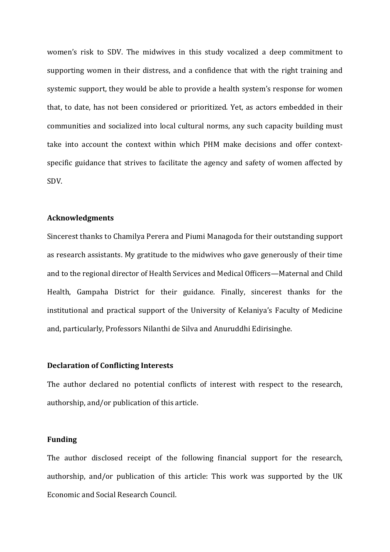women's risk to SDV. The midwives in this study vocalized a deep commitment to supporting women in their distress, and a confidence that with the right training and systemic support, they would be able to provide a health system's response for women that, to date, has not been considered or prioritized. Yet, as actors embedded in their communities and socialized into local cultural norms, any such capacity building must take into account the context within which PHM make decisions and offer contextspecific guidance that strives to facilitate the agency and safety of women affected by SDV.

#### **Acknowledgments**

Sincerest thanks to Chamilya Perera and Piumi Managoda for their outstanding support as research assistants. My gratitude to the midwives who gave generously of their time and to the regional director of Health Services and Medical Officers—Maternal and Child Health, Gampaha District for their guidance. Finally, sincerest thanks for the institutional and practical support of the University of Kelaniya's Faculty of Medicine and, particularly, Professors Nilanthi de Silva and Anuruddhi Edirisinghe.

#### **Declaration of Conflicting Interests**

The author declared no potential conflicts of interest with respect to the research, authorship, and/or publication of this article.

#### **Funding**

The author disclosed receipt of the following financial support for the research, authorship, and/or publication of this article: This work was supported by the UK Economic and Social Research Council.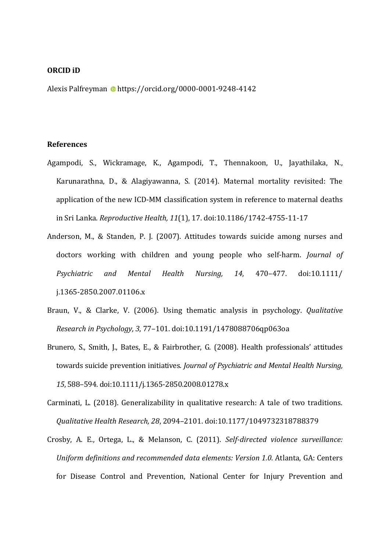#### **ORCID iD**

Alexis Palfreyman lottps://orcid.org/0000-0001-9248-4142

#### **References**

- Agampodi, S., Wickramage, K., Agampodi, T., Thennakoon, U., Jayathilaka, N., Karunarathna, D., & Alagiyawanna, S. (2014). Maternal mortality revisited: The application of the new ICD-MM classification system in reference to maternal deaths in Sri Lanka. *Reproductive Health, 11*(1), 17. doi:10.1186/1742-4755-11-17
- Anderson, M., & Standen, P. J. (2007). Attitudes towards suicide among nurses and doctors working with children and young people who self-harm. *Journal of Psychiatric and Mental Health Nursing, 14*, 470–477. doi:10.1111/ j.1365-2850.2007.01106.x
- Braun, V., & Clarke, V. (2006). Using thematic analysis in psychology. *Qualitative Research in Psychology, 3*, 77–101. doi:10.1191/1478088706qp063oa
- Brunero, S., Smith, J., Bates, E., & Fairbrother, G. (2008). Health professionals' attitudes towards suicide prevention initiatives. *Journal of Psychiatric and Mental Health Nursing, 15*, 588–594. doi:10.1111/j.1365-2850.2008.01278.x
- Carminati, L. (2018). Generalizability in qualitative research: A tale of two traditions. *Qualitative Health Research, 28*, 2094–2101. doi:10.1177/1049732318788379
- Crosby, A. E., Ortega, L., & Melanson, C. (2011). *Self-directed violence surveillance: Uniform definitions and recommended data elements: Version 1.0*. Atlanta, GA: Centers for Disease Control and Prevention, National Center for Injury Prevention and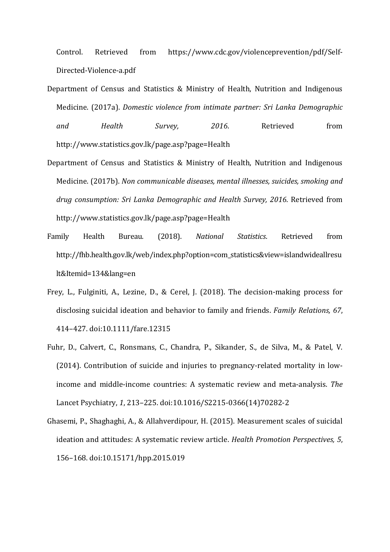Control. Retrieved from https://www.cdc.gov/violenceprevention/pdf/Self-Directed-Violence-a.pdf

- Department of Census and Statistics & Ministry of Health, Nutrition and Indigenous Medicine. (2017a). *Domestic violence from intimate partner: Sri Lanka Demographic and Health Survey, 2016*. Retrieved from http://www.statistics.gov.lk/page.asp?page=Health
- Department of Census and Statistics & Ministry of Health, Nutrition and Indigenous Medicine. (2017b). *Non communicable diseases, mental illnesses, suicides, smoking and drug consumption: Sri Lanka Demographic and Health Survey, 2016*. Retrieved from http://www.statistics.gov.lk/page.asp?page=Health
- Family Health Bureau. (2018). *National Statistics*. Retrieved from http://fhb.health.gov.lk/web/index.php?option=com\_statistics&view=islandwideallresu lt&Itemid=134&lang=en
- Frey, L., Fulginiti, A., Lezine, D., & Cerel, J. (2018). The decision-making process for disclosing suicidal ideation and behavior to family and friends. *Family Relations, 67*, 414–427. doi:10.1111/fare.12315
- Fuhr, D., Calvert, C., Ronsmans, C., Chandra, P., Sikander, S., de Silva, M., & Patel, V. (2014). Contribution of suicide and injuries to pregnancy-related mortality in lowincome and middle-income countries: A systematic review and meta-analysis. *The*  Lancet Psychiatry, *1*, 213–225. doi:10.1016/S2215-0366(14)70282-2
- Ghasemi, P., Shaghaghi, A., & Allahverdipour, H. (2015). Measurement scales of suicidal ideation and attitudes: A systematic review article. *Health Promotion Perspectives, 5*, 156–168. doi:10.15171/hpp.2015.019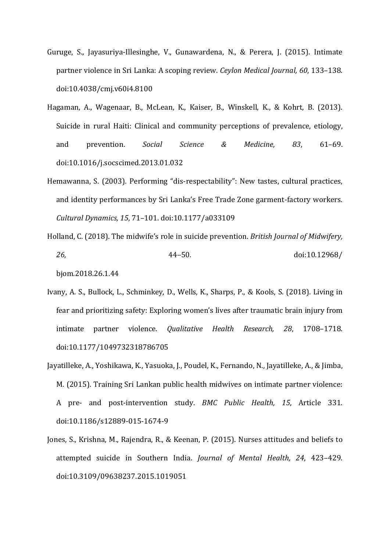- Guruge, S., Jayasuriya-Illesinghe, V., Gunawardena, N., & Perera, J. (2015). Intimate partner violence in Sri Lanka: A scoping review. *Ceylon Medical Journal, 60*, 133–138. doi:10.4038/cmj.v60i4.8100
- Hagaman, A., Wagenaar, B., McLean, K., Kaiser, B., Winskell, K., & Kohrt, B. (2013). Suicide in rural Haiti: Clinical and community perceptions of prevalence, etiology, and prevention. *Social Science & Medicine, 83*, 61–69. doi:10.1016/j.socscimed.2013.01.032
- Hemawanna, S. (2003). Performing "dis-respectability": New tastes, cultural practices, and identity performances by Sri Lanka's Free Trade Zone garment-factory workers. *Cultural Dynamics, 15*, 71–101. doi:10.1177/a033109
- Holland, C. (2018). The midwife's role in suicide prevention. *British Journal of Midwifery, 26*, 44–50. doi:10.12968/

bjom.2018.26.1.44

- Ivany, A. S., Bullock, L., Schminkey, D., Wells, K., Sharps, P., & Kools, S. (2018). Living in fear and prioritizing safety: Exploring women's lives after traumatic brain injury from intimate partner violence. *Qualitative Health Research, 28*, 1708–1718. doi:10.1177/1049732318786705
- Jayatilleke, A., Yoshikawa, K., Yasuoka, J., Poudel, K., Fernando, N., Jayatilleke, A., & Jimba, M. (2015). Training Sri Lankan public health midwives on intimate partner violence: A pre- and post-intervention study. *BMC Public Health, 15*, Article 331. doi:10.1186/s12889-015-1674-9
- Jones, S., Krishna, M., Rajendra, R., & Keenan, P. (2015). Nurses attitudes and beliefs to attempted suicide in Southern India. *Journal of Mental Health, 24*, 423–429. doi:10.3109/09638237.2015.1019051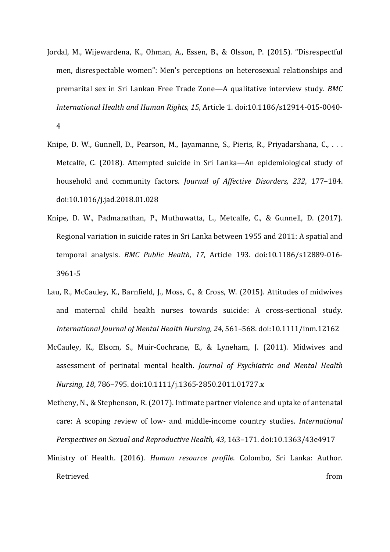- Jordal, M., Wijewardena, K., Ohman, A., Essen, B., & Olsson, P. (2015). "Disrespectful men, disrespectable women": Men's perceptions on heterosexual relationships and premarital sex in Sri Lankan Free Trade Zone—A qualitative interview study. *BMC International Health and Human Rights, 15*, Article 1. doi:10.1186/s12914-015-0040- 4
- Knipe, D. W., Gunnell, D., Pearson, M., Jayamanne, S., Pieris, R., Priyadarshana, C., ... Metcalfe, C. (2018). Attempted suicide in Sri Lanka—An epidemiological study of household and community factors. *Journal of Affective Disorders, 232*, 177–184. doi:10.1016/j.jad.2018.01.028
- Knipe, D. W., Padmanathan, P., Muthuwatta, L., Metcalfe, C., & Gunnell, D. (2017). Regional variation in suicide rates in Sri Lanka between 1955 and 2011: A spatial and temporal analysis. *BMC Public Health, 17*, Article 193. doi:10.1186/s12889-016- 3961-5
- Lau, R., McCauley, K., Barnfield, J., Moss, C., & Cross, W. (2015). Attitudes of midwives and maternal child health nurses towards suicide: A cross-sectional study. *International Journal of Mental Health Nursing, 24*, 561–568. doi:10.1111/inm.12162
- McCauley, K., Elsom, S., Muir-Cochrane, E., & Lyneham, J. (2011). Midwives and assessment of perinatal mental health. *Journal of Psychiatric and Mental Health Nursing, 18*, 786–795. doi:10.1111/j.1365-2850.2011.01727.x
- Metheny, N., & Stephenson, R. (2017). Intimate partner violence and uptake of antenatal care: A scoping review of low- and middle-income country studies. *International Perspectives on Sexual and Reproductive Health, 43*, 163–171. doi:10.1363/43e4917
- Ministry of Health. (2016). *Human resource profile*. Colombo, Sri Lanka: Author. Retrieved to the control of the control of the control of the control of the control of the control of the control of the control of the control of the control of the control of the control of the control of the control of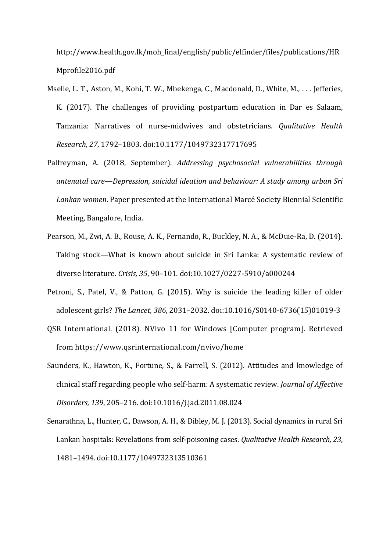http://www.health.gov.lk/moh\_final/english/public/elfinder/files/publications/HR Mprofile2016.pdf

- Mselle, L. T., Aston, M., Kohi, T. W., Mbekenga, C., Macdonald, D., White, M., . . . Jefferies, K. (2017). The challenges of providing postpartum education in Dar es Salaam, Tanzania: Narratives of nurse-midwives and obstetricians. *Qualitative Health Research, 27*, 1792–1803. doi:10.1177/1049732317717695
- Palfreyman, A. (2018, September). *Addressing psychosocial vulnerabilities through antenatal care—Depression, suicidal ideation and behaviour: A study among urban Sri Lankan women*. Paper presented at the International Marcé Society Biennial Scientific Meeting, Bangalore, India.
- Pearson, M., Zwi, A. B., Rouse, A. K., Fernando, R., Buckley, N. A., & McDuie-Ra, D. (2014). Taking stock—What is known about suicide in Sri Lanka: A systematic review of diverse literature. *Crisis, 35*, 90–101. doi:10.1027/0227-5910/a000244
- Petroni, S., Patel, V., & Patton, G. (2015). Why is suicide the leading killer of older adolescent girls? *The Lancet, 386*, 2031–2032. doi:10.1016/S0140-6736(15)01019-3
- QSR International. (2018). NVivo 11 for Windows [Computer program]. Retrieved from https://www.qsrinternational.com/nvivo/home
- Saunders, K., Hawton, K., Fortune, S., & Farrell, S. (2012). Attitudes and knowledge of clinical staff regarding people who self-harm: A systematic review. *Journal of Affective Disorders, 139*, 205–216. doi:10.1016/j.jad.2011.08.024
- Senarathna, L., Hunter, C., Dawson, A. H., & Dibley, M. J. (2013). Social dynamics in rural Sri Lankan hospitals: Revelations from self-poisoning cases. *Qualitative Health Research, 23*, 1481–1494. doi:10.1177/1049732313510361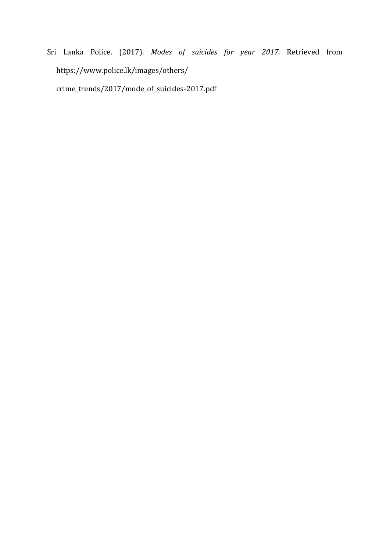Sri Lanka Police. (2017). *Modes of suicides for year 2017*. Retrieved from https://www.police.lk/images/others/ crime\_trends/2017/mode\_of\_suicides-2017.pdf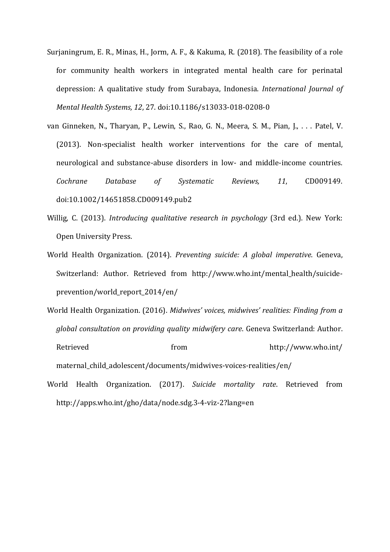- Surjaningrum, E. R., Minas, H., Jorm, A. F., & Kakuma, R. (2018). The feasibility of a role for community health workers in integrated mental health care for perinatal depression: A qualitative study from Surabaya, Indonesia. *International Journal of Mental Health Systems, 12*, 27. doi:10.1186/s13033-018-0208-0
- van Ginneken, N., Tharyan, P., Lewin, S., Rao, G. N., Meera, S. M., Pian, J., . . . Patel, V. (2013). Non-specialist health worker interventions for the care of mental, neurological and substance-abuse disorders in low- and middle-income countries. *Cochrane Database of Systematic Reviews, 11*, CD009149. doi:10.1002/14651858.CD009149.pub2
- Willig, C. (2013). *Introducing qualitative research in psychology* (3rd ed.). New York: Open University Press.
- World Health Organization. (2014). *Preventing suicide: A global imperative*. Geneva, Switzerland: Author. Retrieved from http://www.who.int/mental\_health/suicideprevention/world\_report\_2014/en/
- World Health Organization. (2016). *Midwives' voices, midwives' realities: Finding from a global consultation on providing quality midwifery care*. Geneva Switzerland: Author. Retrieved from http://www.who.int/ maternal\_child\_adolescent/documents/midwives-voices-realities/en/
- World Health Organization. (2017). *Suicide mortality rate*. Retrieved from http://apps.who.int/gho/data/node.sdg.3-4-viz-2?lang=en